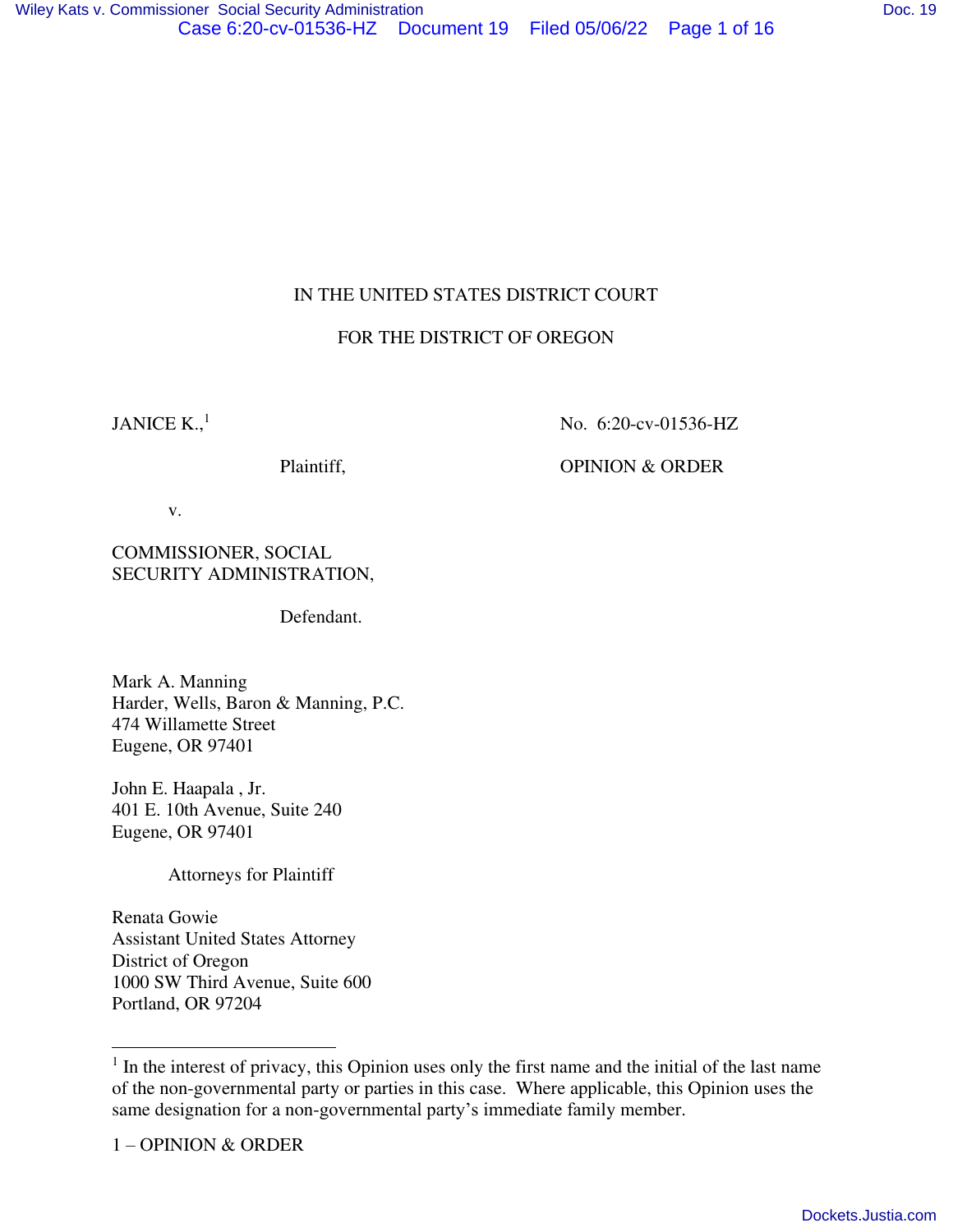# IN THE UNITED STATES DISTRICT COURT

# FOR THE DISTRICT OF OREGON

JANICE  $K$ <sup>1</sup>

No. 6:20-cv-01536-HZ

Plaintiff, OPINION & ORDER

v.

COMMISSIONER, SOCIAL SECURITY ADMINISTRATION,

Defendant.

Mark A. Manning Harder, Wells, Baron & Manning, P.C. 474 Willamette Street Eugene, OR 97401

John E. Haapala , Jr. 401 E. 10th Avenue, Suite 240 Eugene, OR 97401

Attorneys for Plaintiff

Renata Gowie Assistant United States Attorney District of Oregon 1000 SW Third Avenue, Suite 600 Portland, OR 97204

 $<sup>1</sup>$  In the interest of privacy, this Opinion uses only the first name and the initial of the last name</sup> of the non-governmental party or parties in this case. Where applicable, this Opinion uses the same designation for a non-governmental party's immediate family member.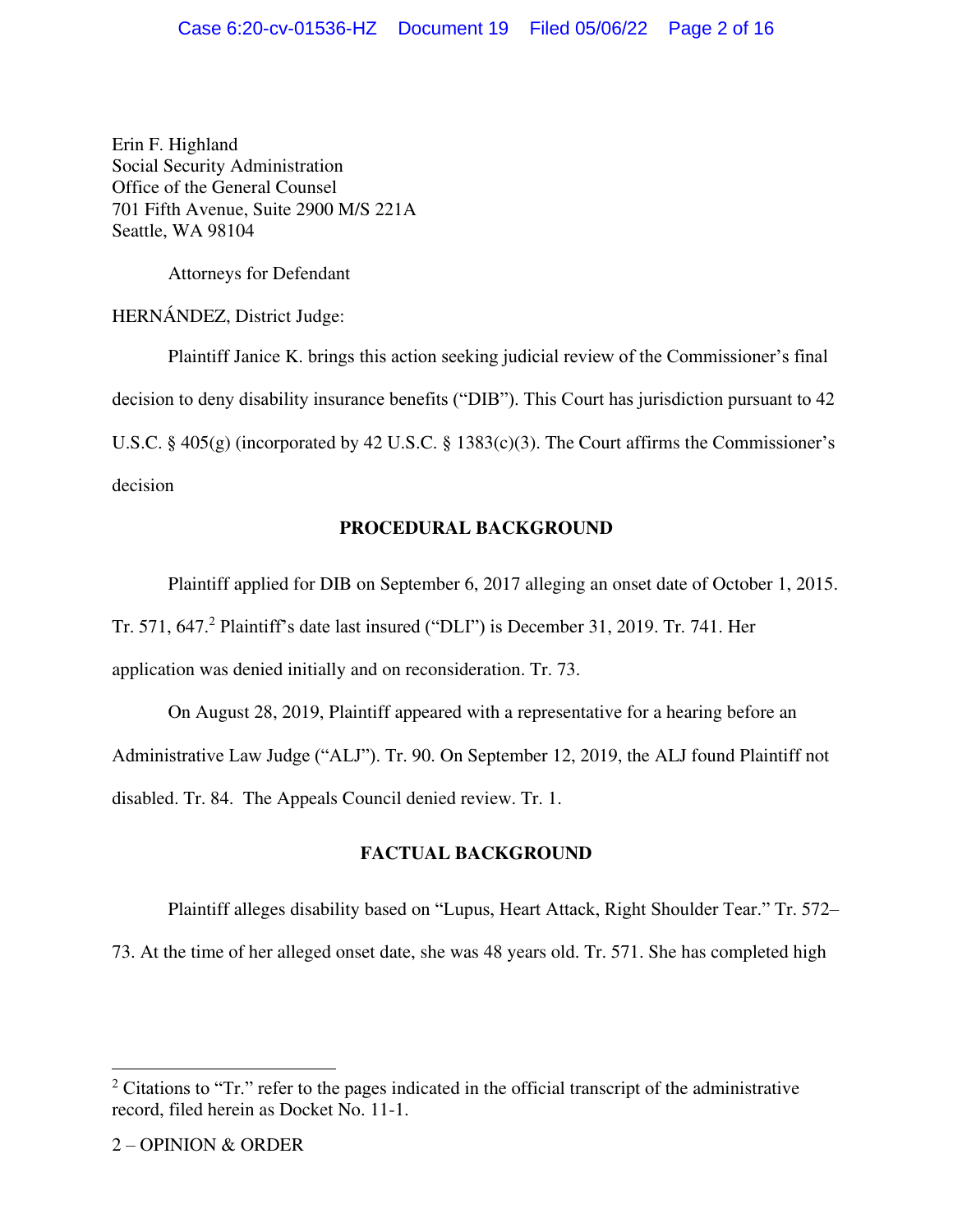Erin F. Highland Social Security Administration Office of the General Counsel 701 Fifth Avenue, Suite 2900 M/S 221A Seattle, WA 98104

Attorneys for Defendant

HERNÁNDEZ, District Judge:

 Plaintiff Janice K. brings this action seeking judicial review of the Commissioner's final decision to deny disability insurance benefits ("DIB"). This Court has jurisdiction pursuant to 42 U.S.C. § 405(g) (incorporated by 42 U.S.C. § 1383(c)(3). The Court affirms the Commissioner's decision

# **PROCEDURAL BACKGROUND**

 Plaintiff applied for DIB on September 6, 2017 alleging an onset date of October 1, 2015. Tr. 571, 647. $^2$  Plaintiff's date last insured ("DLI") is December 31, 2019. Tr. 741. Her application was denied initially and on reconsideration. Tr. 73.

 On August 28, 2019, Plaintiff appeared with a representative for a hearing before an Administrative Law Judge ("ALJ"). Tr. 90. On September 12, 2019, the ALJ found Plaintiff not disabled. Tr. 84. The Appeals Council denied review. Tr. 1.

# **FACTUAL BACKGROUND**

Plaintiff alleges disability based on "Lupus, Heart Attack, Right Shoulder Tear." Tr. 572–

73. At the time of her alleged onset date, she was 48 years old. Tr. 571. She has completed high

<sup>&</sup>lt;sup>2</sup> Citations to "Tr." refer to the pages indicated in the official transcript of the administrative record, filed herein as Docket No. 11-1.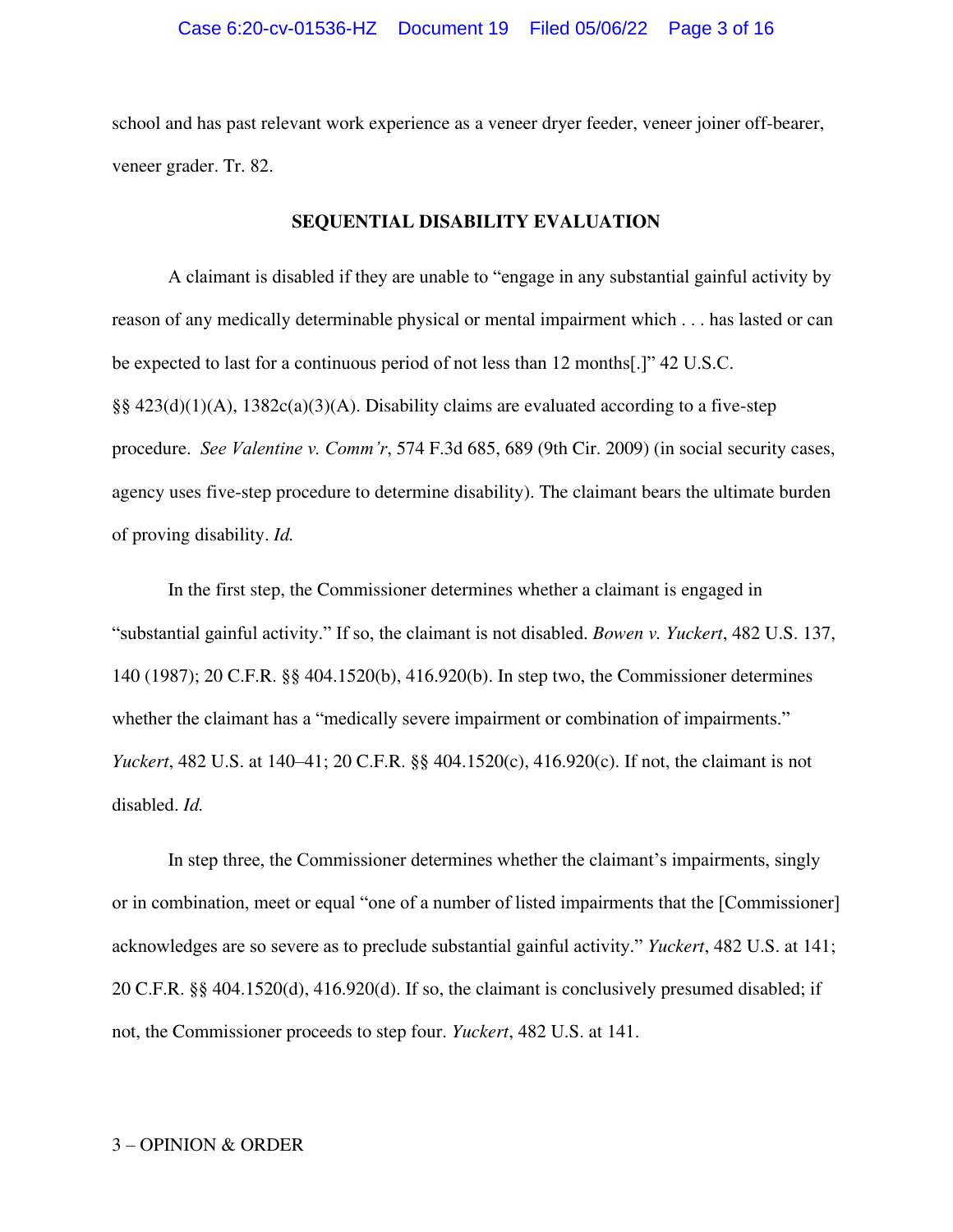school and has past relevant work experience as a veneer dryer feeder, veneer joiner off-bearer, veneer grader. Tr. 82.

## **SEQUENTIAL DISABILITY EVALUATION**

A claimant is disabled if they are unable to "engage in any substantial gainful activity by reason of any medically determinable physical or mental impairment which . . . has lasted or can be expected to last for a continuous period of not less than 12 months[.]" 42 U.S.C. §§  $423(d)(1)(A)$ ,  $1382c(a)(3)(A)$ . Disability claims are evaluated according to a five-step procedure. *See Valentine v. Comm'r*, 574 F.3d 685, 689 (9th Cir. 2009) (in social security cases, agency uses five-step procedure to determine disability). The claimant bears the ultimate burden of proving disability. *Id.*

 In the first step, the Commissioner determines whether a claimant is engaged in "substantial gainful activity." If so, the claimant is not disabled. *Bowen v. Yuckert*, 482 U.S. 137, 140 (1987); 20 C.F.R. §§ 404.1520(b), 416.920(b). In step two, the Commissioner determines whether the claimant has a "medically severe impairment or combination of impairments." *Yuckert*, 482 U.S. at 140–41; 20 C.F.R. §§ 404.1520(c), 416.920(c). If not, the claimant is not disabled. *Id.* 

In step three, the Commissioner determines whether the claimant's impairments, singly or in combination, meet or equal "one of a number of listed impairments that the [Commissioner] acknowledges are so severe as to preclude substantial gainful activity." *Yuckert*, 482 U.S. at 141; 20 C.F.R. §§ 404.1520(d), 416.920(d). If so, the claimant is conclusively presumed disabled; if not, the Commissioner proceeds to step four. *Yuckert*, 482 U.S. at 141.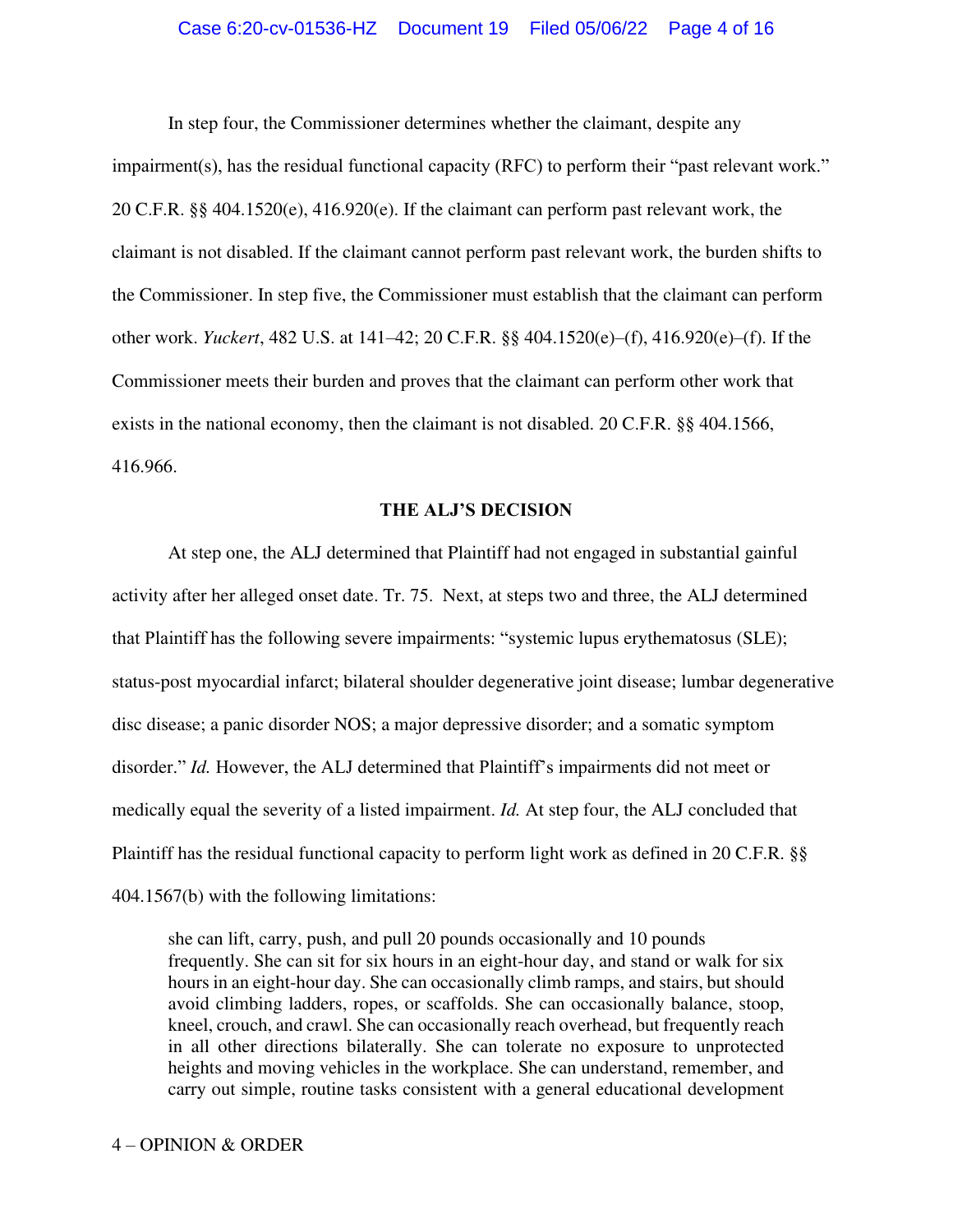#### Case 6:20-cv-01536-HZ Document 19 Filed 05/06/22 Page 4 of 16

 In step four, the Commissioner determines whether the claimant, despite any impairment(s), has the residual functional capacity (RFC) to perform their "past relevant work." 20 C.F.R. §§ 404.1520(e), 416.920(e). If the claimant can perform past relevant work, the claimant is not disabled. If the claimant cannot perform past relevant work, the burden shifts to the Commissioner. In step five, the Commissioner must establish that the claimant can perform other work. *Yuckert*, 482 U.S. at 141–42; 20 C.F.R. §§ 404.1520(e)–(f), 416.920(e)–(f). If the Commissioner meets their burden and proves that the claimant can perform other work that exists in the national economy, then the claimant is not disabled. 20 C.F.R. §§ 404.1566, 416.966.

#### **THE ALJ'S DECISION**

At step one, the ALJ determined that Plaintiff had not engaged in substantial gainful activity after her alleged onset date. Tr. 75. Next, at steps two and three, the ALJ determined that Plaintiff has the following severe impairments: "systemic lupus erythematosus (SLE); status-post myocardial infarct; bilateral shoulder degenerative joint disease; lumbar degenerative disc disease; a panic disorder NOS; a major depressive disorder; and a somatic symptom disorder." *Id.* However, the ALJ determined that Plaintiff's impairments did not meet or medically equal the severity of a listed impairment. *Id.* At step four, the ALJ concluded that Plaintiff has the residual functional capacity to perform light work as defined in 20 C.F.R. §§ 404.1567(b) with the following limitations:

she can lift, carry, push, and pull 20 pounds occasionally and 10 pounds frequently. She can sit for six hours in an eight-hour day, and stand or walk for six hours in an eight-hour day. She can occasionally climb ramps, and stairs, but should avoid climbing ladders, ropes, or scaffolds. She can occasionally balance, stoop, kneel, crouch, and crawl. She can occasionally reach overhead, but frequently reach in all other directions bilaterally. She can tolerate no exposure to unprotected heights and moving vehicles in the workplace. She can understand, remember, and carry out simple, routine tasks consistent with a general educational development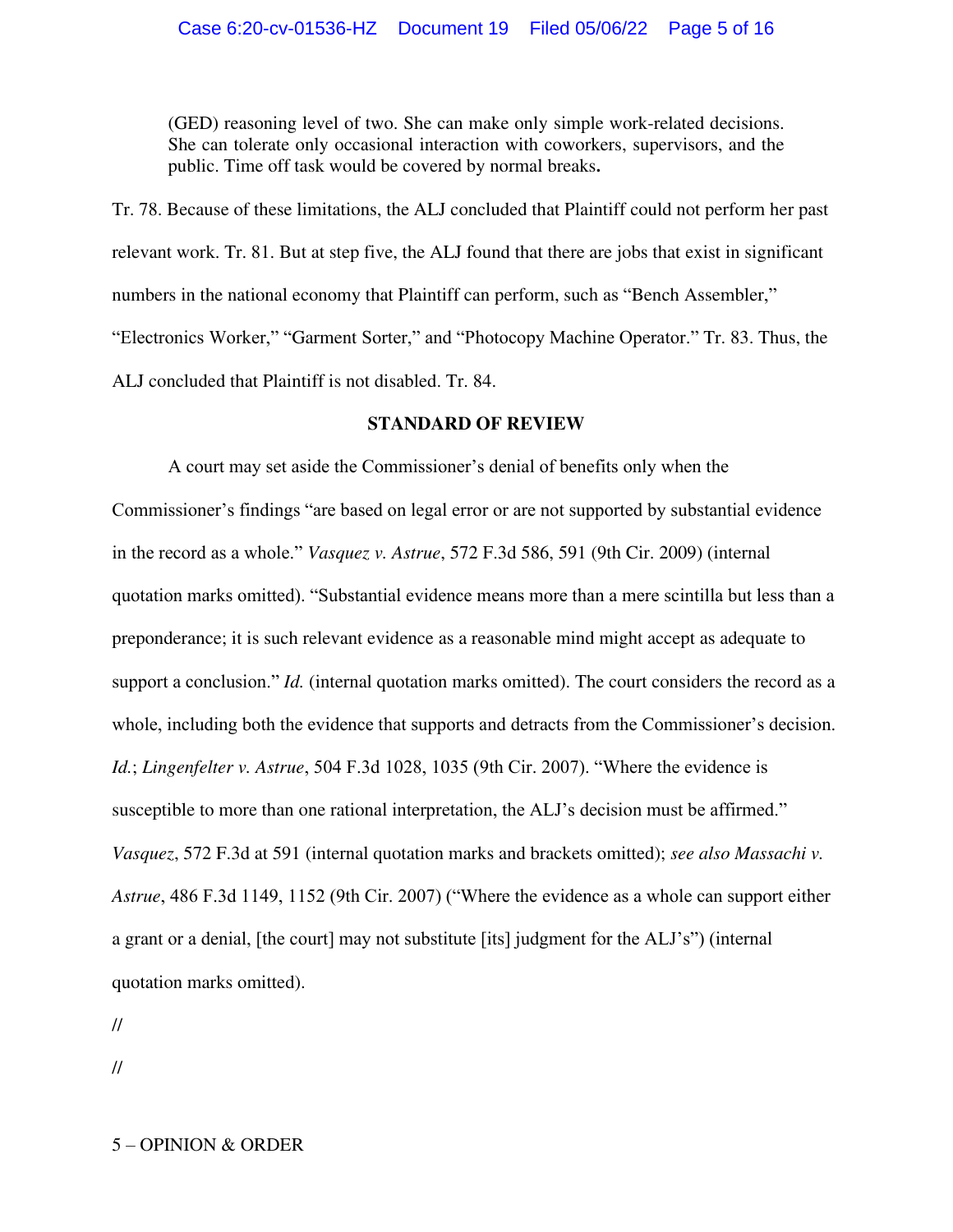(GED) reasoning level of two. She can make only simple work-related decisions. She can tolerate only occasional interaction with coworkers, supervisors, and the public. Time off task would be covered by normal breaks**.** 

Tr. 78. Because of these limitations, the ALJ concluded that Plaintiff could not perform her past relevant work. Tr. 81. But at step five, the ALJ found that there are jobs that exist in significant numbers in the national economy that Plaintiff can perform, such as "Bench Assembler," "Electronics Worker," "Garment Sorter," and "Photocopy Machine Operator." Tr. 83. Thus, the ALJ concluded that Plaintiff is not disabled. Tr. 84.

## **STANDARD OF REVIEW**

A court may set aside the Commissioner's denial of benefits only when the Commissioner's findings "are based on legal error or are not supported by substantial evidence in the record as a whole." *Vasquez v. Astrue*, 572 F.3d 586, 591 (9th Cir. 2009) (internal quotation marks omitted). "Substantial evidence means more than a mere scintilla but less than a preponderance; it is such relevant evidence as a reasonable mind might accept as adequate to support a conclusion." *Id.* (internal quotation marks omitted). The court considers the record as a whole, including both the evidence that supports and detracts from the Commissioner's decision. *Id.*; *Lingenfelter v. Astrue*, 504 F.3d 1028, 1035 (9th Cir. 2007). "Where the evidence is susceptible to more than one rational interpretation, the ALJ's decision must be affirmed." *Vasquez*, 572 F.3d at 591 (internal quotation marks and brackets omitted); *see also Massachi v. Astrue*, 486 F.3d 1149, 1152 (9th Cir. 2007) ("Where the evidence as a whole can support either a grant or a denial, [the court] may not substitute [its] judgment for the ALJ's") (internal quotation marks omitted).

//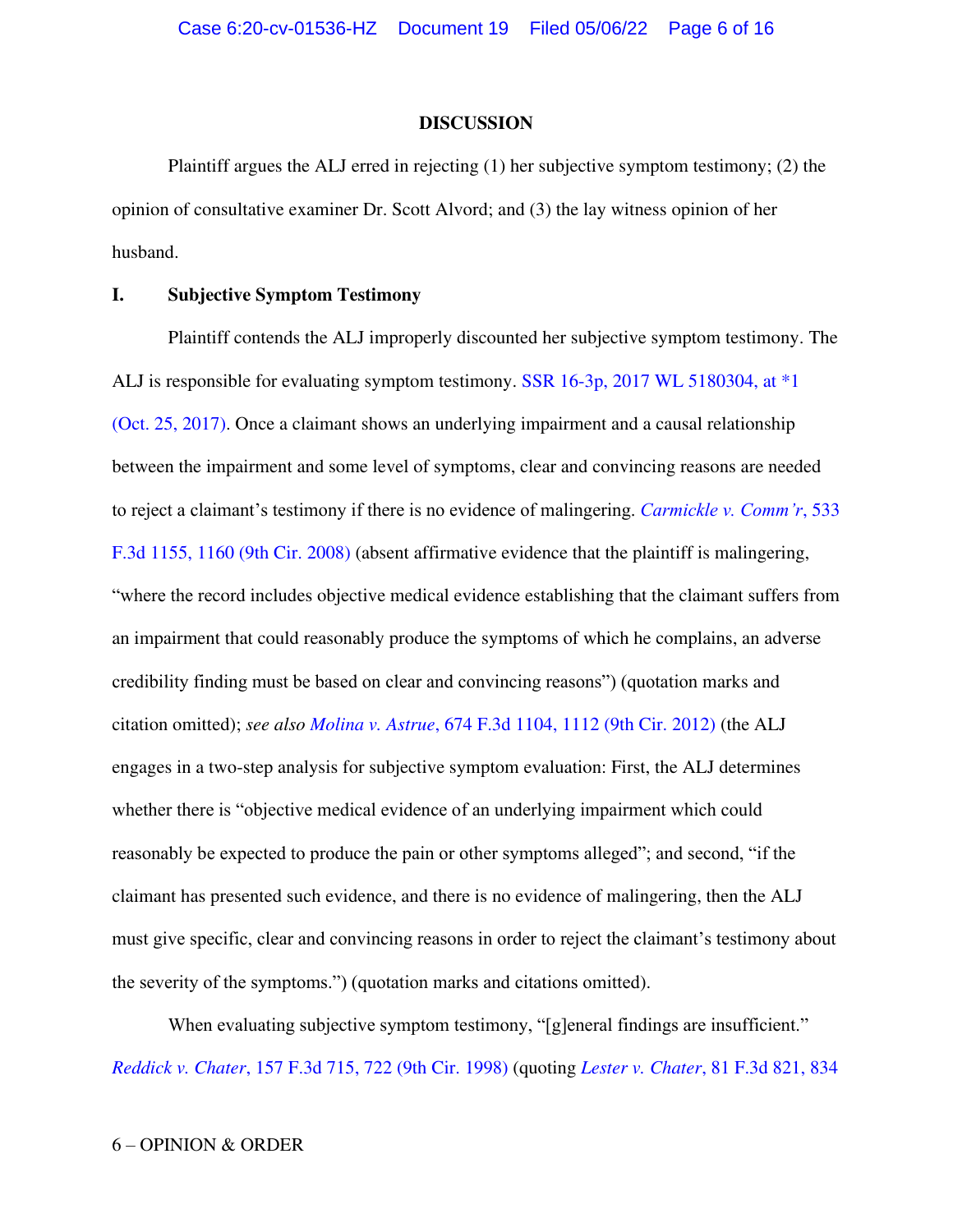#### **DISCUSSION**

 Plaintiff argues the ALJ erred in rejecting (1) her subjective symptom testimony; (2) the opinion of consultative examiner Dr. Scott Alvord; and (3) the lay witness opinion of her husband.

# **I. Subjective Symptom Testimony**

Plaintiff contends the ALJ improperly discounted her subjective symptom testimony. The ALJ is responsible for evaluating symptom testimony. [SSR 16-3p, 2017 WL 5180304, at \\*1](https://www.westlaw.com/Document/I0a0ff96dc50011e79bef99c0ee06c731/View/FullText.html?transitionType=Default&contextData=(sc.Default)&VR=3.0&RS=da3.0&fragmentIdentifier=co_pp_sp_999_1)  [\(Oct. 25, 2017\).](https://www.westlaw.com/Document/I0a0ff96dc50011e79bef99c0ee06c731/View/FullText.html?transitionType=Default&contextData=(sc.Default)&VR=3.0&RS=da3.0&fragmentIdentifier=co_pp_sp_999_1) Once a claimant shows an underlying impairment and a causal relationship between the impairment and some level of symptoms, clear and convincing reasons are needed to reject a claimant's testimony if there is no evidence of malingering. *[Carmickle v. Comm'r](https://www.westlaw.com/Document/Ibd18fb2059b011ddb7e583ba170699a5/View/FullText.html?transitionType=Default&contextData=(sc.Default)&VR=3.0&RS=da3.0&fragmentIdentifier=co_pp_sp_506_1160)*, 533 [F.3d 1155, 1160 \(9th Cir. 2008\)](https://www.westlaw.com/Document/Ibd18fb2059b011ddb7e583ba170699a5/View/FullText.html?transitionType=Default&contextData=(sc.Default)&VR=3.0&RS=da3.0&fragmentIdentifier=co_pp_sp_506_1160) (absent affirmative evidence that the plaintiff is malingering, "where the record includes objective medical evidence establishing that the claimant suffers from an impairment that could reasonably produce the symptoms of which he complains, an adverse credibility finding must be based on clear and convincing reasons") (quotation marks and citation omitted); *see also Molina v. Astrue*[, 674 F.3d 1104, 1112 \(9th Cir. 2012\)](https://www.westlaw.com/Document/Ib9db30757cda11e196ddf76f9be2cc49/View/FullText.html?transitionType=Default&contextData=(sc.Default)&VR=3.0&RS=da3.0&fragmentIdentifier=co_pp_sp_506_1112) (the ALJ engages in a two-step analysis for subjective symptom evaluation: First, the ALJ determines whether there is "objective medical evidence of an underlying impairment which could reasonably be expected to produce the pain or other symptoms alleged"; and second, "if the claimant has presented such evidence, and there is no evidence of malingering, then the ALJ must give specific, clear and convincing reasons in order to reject the claimant's testimony about the severity of the symptoms.") (quotation marks and citations omitted).

When evaluating subjective symptom testimony, "[g]eneral findings are insufficient." *Reddick v. Chater*[, 157 F.3d 715, 722 \(9th Cir. 1998\)](https://www.westlaw.com/Document/I928ae182947511d9a707f4371c9c34f0/View/FullText.html?transitionType=Default&contextData=(sc.Default)&VR=3.0&RS=da3.0&fragmentIdentifier=co_pp_sp_506_722) (quoting *Lester v. Chater*[, 81 F.3d 821, 834](https://www.westlaw.com/Document/I9dbe215192a611d9a707f4371c9c34f0/View/FullText.html?transitionType=Default&contextData=(sc.Default)&VR=3.0&RS=da3.0&fragmentIdentifier=co_pp_sp_506_834)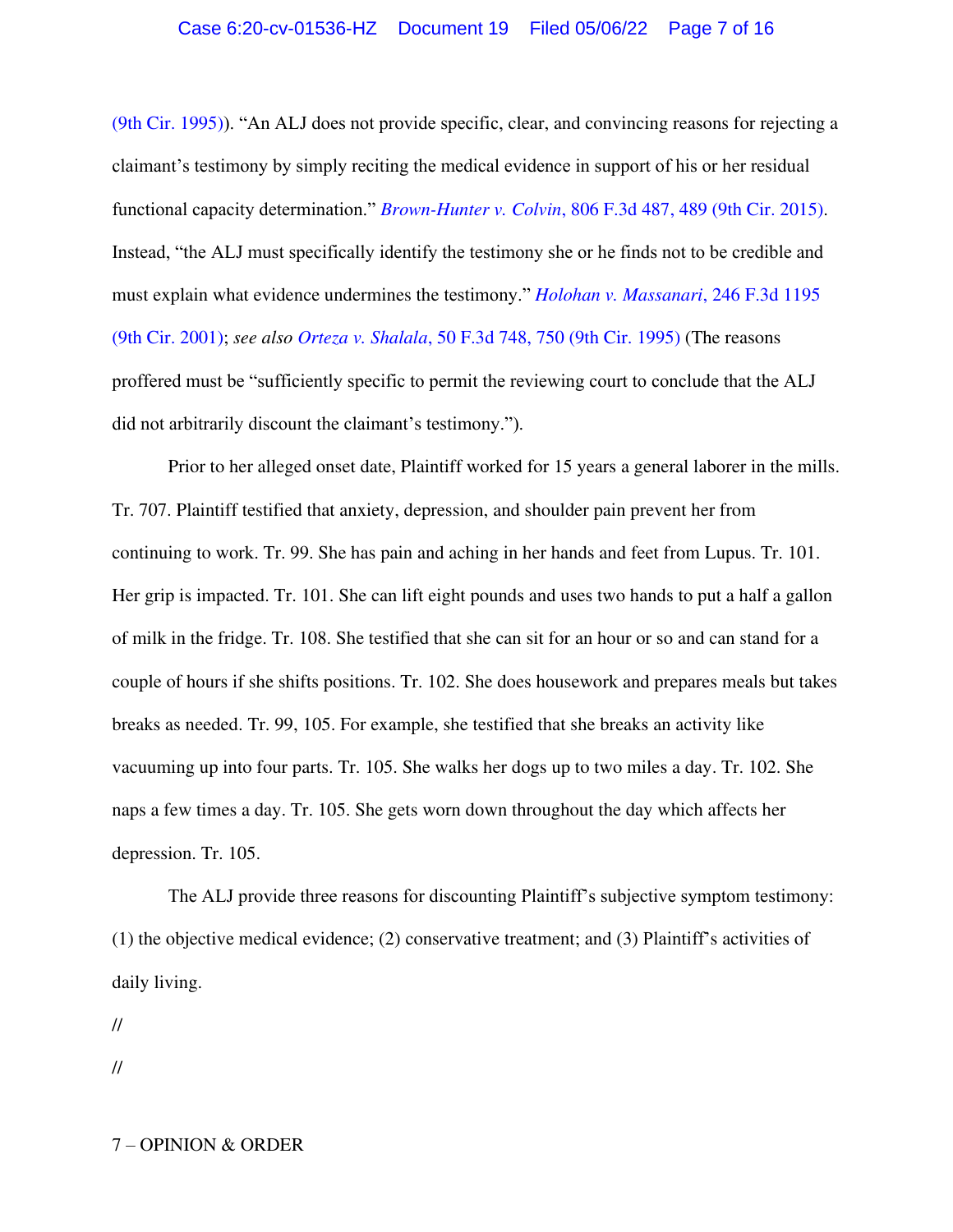[\(9th Cir. 1995\)](https://www.westlaw.com/Document/I9dbe215192a611d9a707f4371c9c34f0/View/FullText.html?transitionType=Default&contextData=(sc.Default)&VR=3.0&RS=da3.0&fragmentIdentifier=co_pp_sp_506_834)). "An ALJ does not provide specific, clear, and convincing reasons for rejecting a claimant's testimony by simply reciting the medical evidence in support of his or her residual functional capacity determination." *Brown-Hunter v. Colvin*[, 806 F.3d 487, 489 \(9th Cir. 2015\).](https://www.westlaw.com/Document/Ib0ffcab1825611e5b4bafa136b480ad2/View/FullText.html?transitionType=Default&contextData=(sc.Default)&VR=3.0&RS=da3.0&fragmentIdentifier=co_pp_sp_506_489) Instead, "the ALJ must specifically identify the testimony she or he finds not to be credible and must explain what evidence undermines the testimony." *[Holohan v. Massanari](https://www.westlaw.com/Document/I47d450ab79ad11d9bf29e2067ad74e5b/View/FullText.html?transitionType=Default&contextData=(sc.Default)&VR=3.0&RS=da3.0)*, 246 F.3d 1195 [\(9th Cir. 2001\);](https://www.westlaw.com/Document/I47d450ab79ad11d9bf29e2067ad74e5b/View/FullText.html?transitionType=Default&contextData=(sc.Default)&VR=3.0&RS=da3.0) *see also Orteza v. Shalala*[, 50 F.3d 748, 750 \(9th Cir. 1995\)](https://www.westlaw.com/Document/I17c34e9b917f11d9a707f4371c9c34f0/View/FullText.html?transitionType=Default&contextData=(sc.Default)&VR=3.0&RS=da3.0&fragmentIdentifier=co_pp_sp_506_750) (The reasons proffered must be "sufficiently specific to permit the reviewing court to conclude that the ALJ did not arbitrarily discount the claimant's testimony.").

 Prior to her alleged onset date, Plaintiff worked for 15 years a general laborer in the mills. Tr. 707. Plaintiff testified that anxiety, depression, and shoulder pain prevent her from continuing to work. Tr. 99. She has pain and aching in her hands and feet from Lupus. Tr. 101. Her grip is impacted. Tr. 101. She can lift eight pounds and uses two hands to put a half a gallon of milk in the fridge. Tr. 108. She testified that she can sit for an hour or so and can stand for a couple of hours if she shifts positions. Tr. 102. She does housework and prepares meals but takes breaks as needed. Tr. 99, 105. For example, she testified that she breaks an activity like vacuuming up into four parts. Tr. 105. She walks her dogs up to two miles a day. Tr. 102. She naps a few times a day. Tr. 105. She gets worn down throughout the day which affects her depression. Tr. 105.

The ALJ provide three reasons for discounting Plaintiff's subjective symptom testimony: (1) the objective medical evidence; (2) conservative treatment; and (3) Plaintiff's activities of daily living.

//

//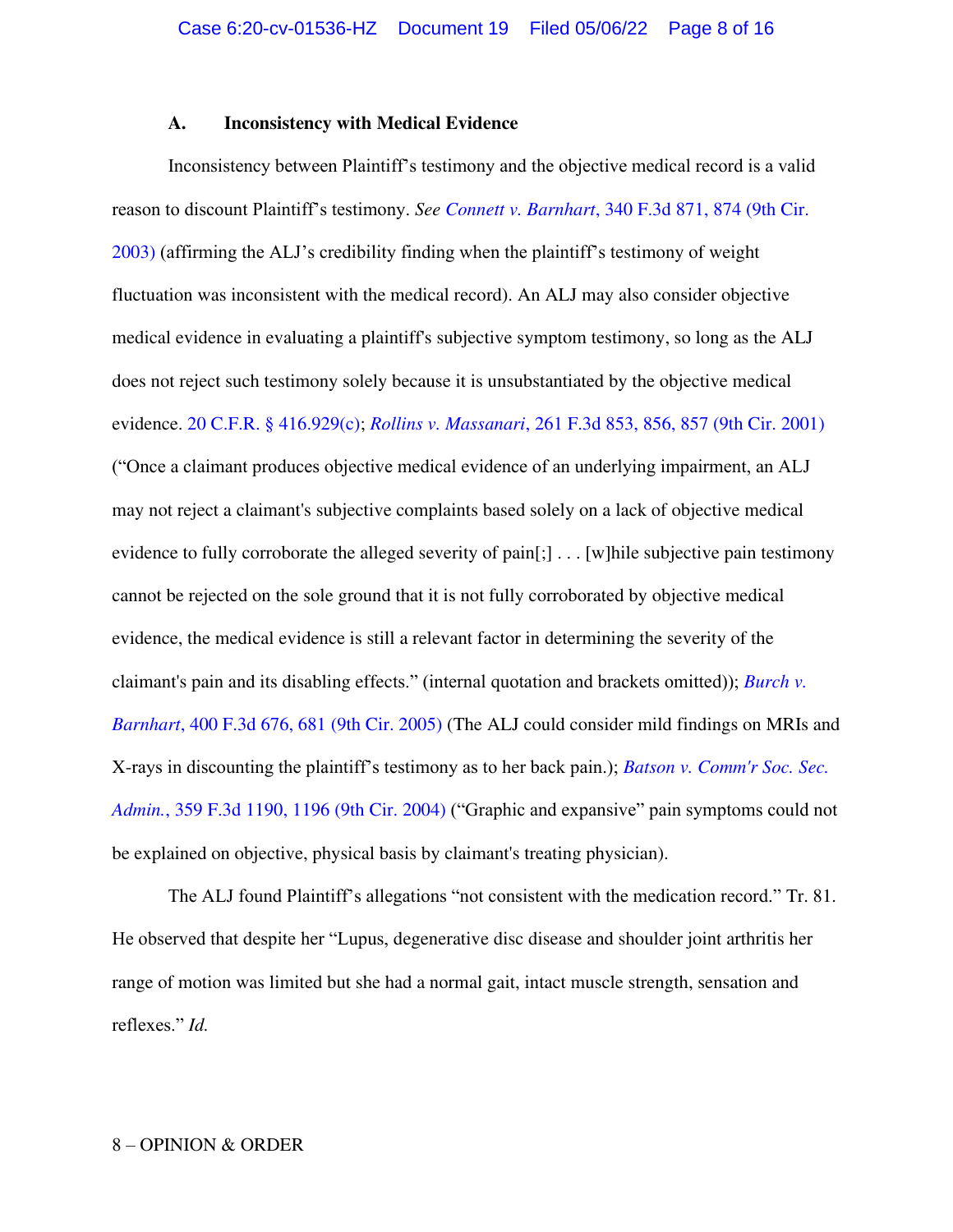#### **A. Inconsistency with Medical Evidence**

Inconsistency between Plaintiff's testimony and the objective medical record is a valid reason to discount Plaintiff's testimony. *See Connett v. Barnhart*[, 340 F.3d 871, 874 \(9th Cir.](https://www.westlaw.com/Document/Icf97082b89e811d9903eeb4634b8d78e/View/FullText.html?transitionType=Default&contextData=(sc.Default)&VR=3.0&RS=da3.0&fragmentIdentifier=co_pp_sp_506_874)  [2003\)](https://www.westlaw.com/Document/Icf97082b89e811d9903eeb4634b8d78e/View/FullText.html?transitionType=Default&contextData=(sc.Default)&VR=3.0&RS=da3.0&fragmentIdentifier=co_pp_sp_506_874) (affirming the ALJ's credibility finding when the plaintiff's testimony of weight fluctuation was inconsistent with the medical record). An ALJ may also consider objective medical evidence in evaluating a plaintiff's subjective symptom testimony, so long as the ALJ does not reject such testimony solely because it is unsubstantiated by the objective medical evidence. [20 C.F.R. § 416.929\(c\);](https://www.westlaw.com/Document/NAB3AF7C012F711E7B6D8BE689CB59C06/View/FullText.html?transitionType=Default&contextData=(sc.Default)&VR=3.0&RS=da3.0) *Rollins v. Massanari*[, 261 F.3d 853, 856, 857 \(9th Cir. 2001\)](https://www.westlaw.com/Document/I1342320979bf11d9ac1ffa9f33b6c3b0/View/FullText.html?transitionType=Default&contextData=(sc.Default)&VR=3.0&RS=da3.0&fragmentIdentifier=co_pp_sp_506_856%2c+857) ("Once a claimant produces objective medical evidence of an underlying impairment, an ALJ may not reject a claimant's subjective complaints based solely on a lack of objective medical evidence to fully corroborate the alleged severity of pain[;] . . . [w]hile subjective pain testimony cannot be rejected on the sole ground that it is not fully corroborated by objective medical evidence, the medical evidence is still a relevant factor in determining the severity of the claimant's pain and its disabling effects." (internal quotation and brackets omitted)); *[Burch v.](https://www.westlaw.com/Document/I27b83f298f4211d9bc61beebb95be672/View/FullText.html?transitionType=Default&contextData=(sc.Default)&VR=3.0&RS=da3.0&fragmentIdentifier=co_pp_sp_506_681)  Barnhart*[, 400 F.3d 676, 681 \(9th Cir. 2005\)](https://www.westlaw.com/Document/I27b83f298f4211d9bc61beebb95be672/View/FullText.html?transitionType=Default&contextData=(sc.Default)&VR=3.0&RS=da3.0&fragmentIdentifier=co_pp_sp_506_681) (The ALJ could consider mild findings on MRIs and X-rays in discounting the plaintiff's testimony as to her back pain.); *[Batson v. Comm'r Soc. Sec.](https://www.westlaw.com/Document/I7d94d4d989fc11d98b51ba734bfc3c79/View/FullText.html?transitionType=Default&contextData=(sc.Default)&VR=3.0&RS=da3.0&fragmentIdentifier=co_pp_sp_506_1196)  Admin.*[, 359 F.3d 1190, 1196 \(9th Cir. 2004\)](https://www.westlaw.com/Document/I7d94d4d989fc11d98b51ba734bfc3c79/View/FullText.html?transitionType=Default&contextData=(sc.Default)&VR=3.0&RS=da3.0&fragmentIdentifier=co_pp_sp_506_1196) ("Graphic and expansive" pain symptoms could not be explained on objective, physical basis by claimant's treating physician).

The ALJ found Plaintiff's allegations "not consistent with the medication record." Tr. 81. He observed that despite her "Lupus, degenerative disc disease and shoulder joint arthritis her range of motion was limited but she had a normal gait, intact muscle strength, sensation and reflexes." *Id.*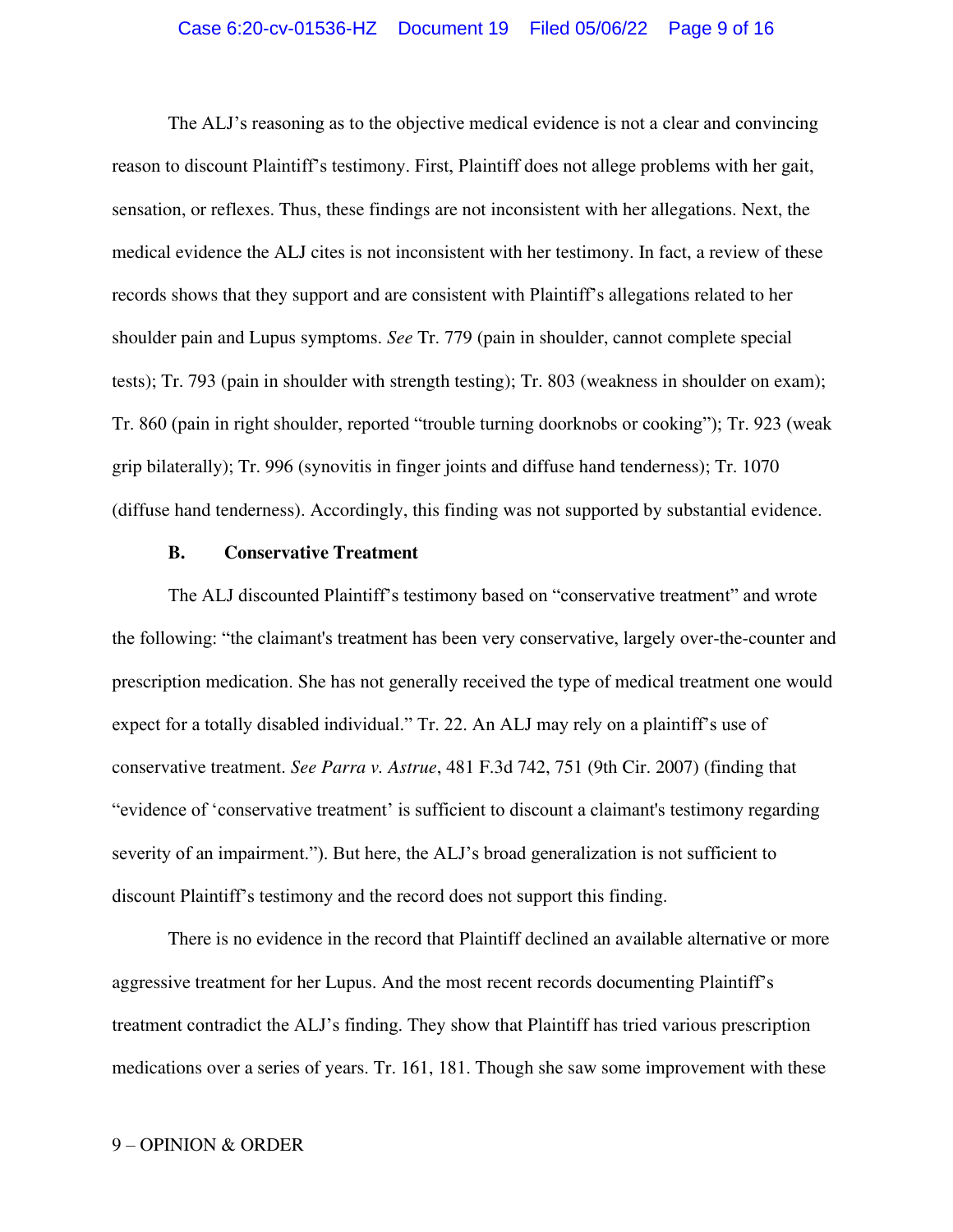## Case 6:20-cv-01536-HZ Document 19 Filed 05/06/22 Page 9 of 16

The ALJ's reasoning as to the objective medical evidence is not a clear and convincing reason to discount Plaintiff's testimony. First, Plaintiff does not allege problems with her gait, sensation, or reflexes. Thus, these findings are not inconsistent with her allegations. Next, the medical evidence the ALJ cites is not inconsistent with her testimony. In fact, a review of these records shows that they support and are consistent with Plaintiff's allegations related to her shoulder pain and Lupus symptoms. *See* Tr. 779 (pain in shoulder, cannot complete special tests); Tr. 793 (pain in shoulder with strength testing); Tr. 803 (weakness in shoulder on exam); Tr. 860 (pain in right shoulder, reported "trouble turning doorknobs or cooking"); Tr. 923 (weak grip bilaterally); Tr. 996 (synovitis in finger joints and diffuse hand tenderness); Tr. 1070 (diffuse hand tenderness). Accordingly, this finding was not supported by substantial evidence.

#### **B. Conservative Treatment**

The ALJ discounted Plaintiff's testimony based on "conservative treatment" and wrote the following: "the claimant's treatment has been very conservative, largely over-the-counter and prescription medication. She has not generally received the type of medical treatment one would expect for a totally disabled individual." Tr. 22. An ALJ may rely on a plaintiff's use of conservative treatment. *See Parra v. Astrue*[, 481 F.3d 742, 751 \(9th Cir. 2007\)](https://www.westlaw.com/Document/I31493bd5d94711dbb035bac3a32ef289/View/FullText.html?transitionType=Default&contextData=(sc.Default)&VR=3.0&RS=da3.0&fragmentIdentifier=co_pp_sp_506_751) (finding that "evidence of 'conservative treatment' is sufficient to discount a claimant's testimony regarding severity of an impairment."). But here, the ALJ's broad generalization is not sufficient to discount Plaintiff's testimony and the record does not support this finding.

 There is no evidence in the record that Plaintiff declined an available alternative or more aggressive treatment for her Lupus. And the most recent records documenting Plaintiff's treatment contradict the ALJ's finding. They show that Plaintiff has tried various prescription medications over a series of years. Tr. 161, 181. Though she saw some improvement with these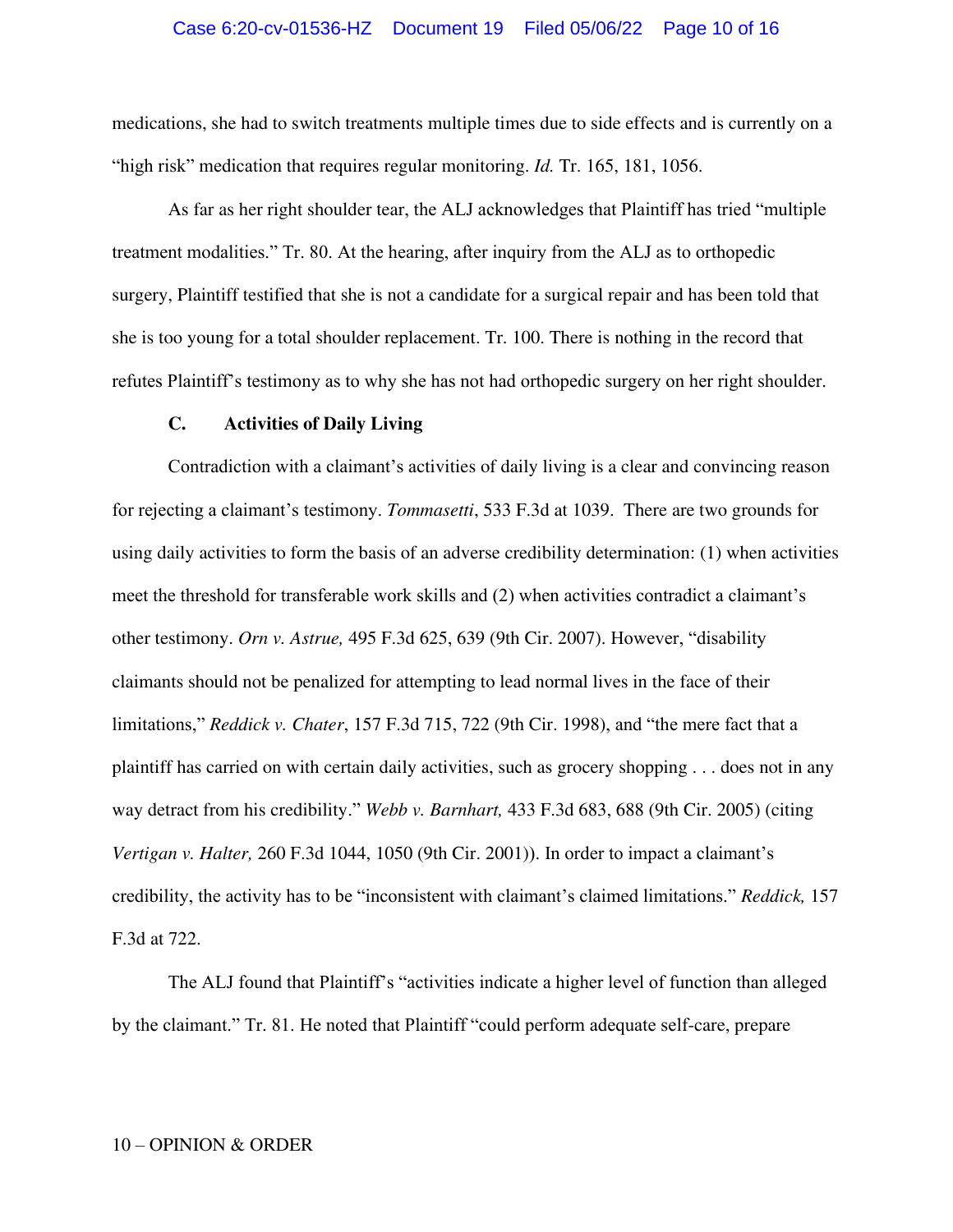#### Case 6:20-cv-01536-HZ Document 19 Filed 05/06/22 Page 10 of 16

medications, she had to switch treatments multiple times due to side effects and is currently on a "high risk" medication that requires regular monitoring. *Id.* Tr. 165, 181, 1056.

 As far as her right shoulder tear, the ALJ acknowledges that Plaintiff has tried "multiple treatment modalities." Tr. 80. At the hearing, after inquiry from the ALJ as to orthopedic surgery, Plaintiff testified that she is not a candidate for a surgical repair and has been told that she is too young for a total shoulder replacement. Tr. 100. There is nothing in the record that refutes Plaintiff's testimony as to why she has not had orthopedic surgery on her right shoulder.

#### **C. Activities of Daily Living**

Contradiction with a claimant's activities of daily living is a clear and convincing reason for rejecting a claimant's testimony. *Tommasetti*, 533 F.3d at 1039. There are two grounds for using daily activities to form the basis of an adverse credibility determination: (1) when activities meet the threshold for transferable work skills and (2) when activities contradict a claimant's other testimony. *Orn v. Astrue,* 495 F.3d 625, 639 (9th Cir. 2007). However, "disability claimants should not be penalized for attempting to lead normal lives in the face of their limitations," *Reddick v. Chater*, 157 F.3d 715, 722 (9th Cir. 1998), and "the mere fact that a plaintiff has carried on with certain daily activities, such as grocery shopping . . . does not in any way detract from his credibility." *Webb v. Barnhart,* 433 F.3d 683, 688 (9th Cir. 2005) (citing *Vertigan v. Halter,* 260 F.3d 1044, 1050 (9th Cir. 2001)). In order to impact a claimant's credibility, the activity has to be "inconsistent with claimant's claimed limitations." *Reddick,* 157 F.3d at 722.

The ALJ found that Plaintiff's "activities indicate a higher level of function than alleged by the claimant." Tr. 81. He noted that Plaintiff "could perform adequate self-care, prepare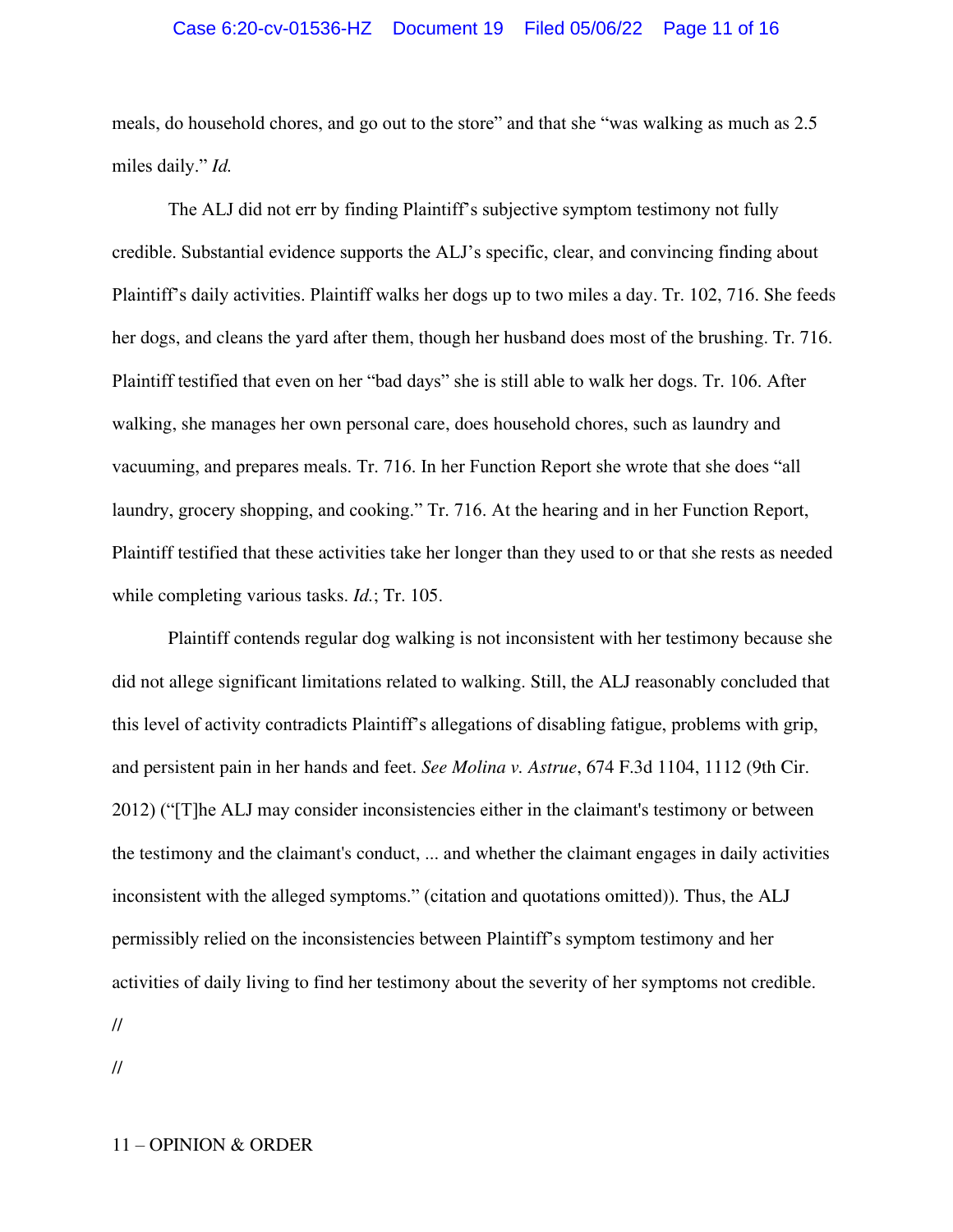## Case 6:20-cv-01536-HZ Document 19 Filed 05/06/22 Page 11 of 16

meals, do household chores, and go out to the store" and that she "was walking as much as 2.5 miles daily." *Id.* 

The ALJ did not err by finding Plaintiff's subjective symptom testimony not fully credible. Substantial evidence supports the ALJ's specific, clear, and convincing finding about Plaintiff's daily activities. Plaintiff walks her dogs up to two miles a day. Tr. 102, 716. She feeds her dogs, and cleans the yard after them, though her husband does most of the brushing. Tr. 716. Plaintiff testified that even on her "bad days" she is still able to walk her dogs. Tr. 106. After walking, she manages her own personal care, does household chores, such as laundry and vacuuming, and prepares meals. Tr. 716. In her Function Report she wrote that she does "all laundry, grocery shopping, and cooking." Tr. 716. At the hearing and in her Function Report, Plaintiff testified that these activities take her longer than they used to or that she rests as needed while completing various tasks. *Id.*; Tr. 105.

 Plaintiff contends regular dog walking is not inconsistent with her testimony because she did not allege significant limitations related to walking. Still, the ALJ reasonably concluded that this level of activity contradicts Plaintiff's allegations of disabling fatigue, problems with grip, and persistent pain in her hands and feet. *See Molina v. Astrue*, 674 F.3d 1104, 1112 (9th Cir. 2012) ("[T]he ALJ may consider inconsistencies either in the claimant's testimony or between the testimony and the claimant's conduct, ... and whether the claimant engages in daily activities inconsistent with the alleged symptoms." (citation and quotations omitted)). Thus, the ALJ permissibly relied on the inconsistencies between Plaintiff's symptom testimony and her activities of daily living to find her testimony about the severity of her symptoms not credible.

//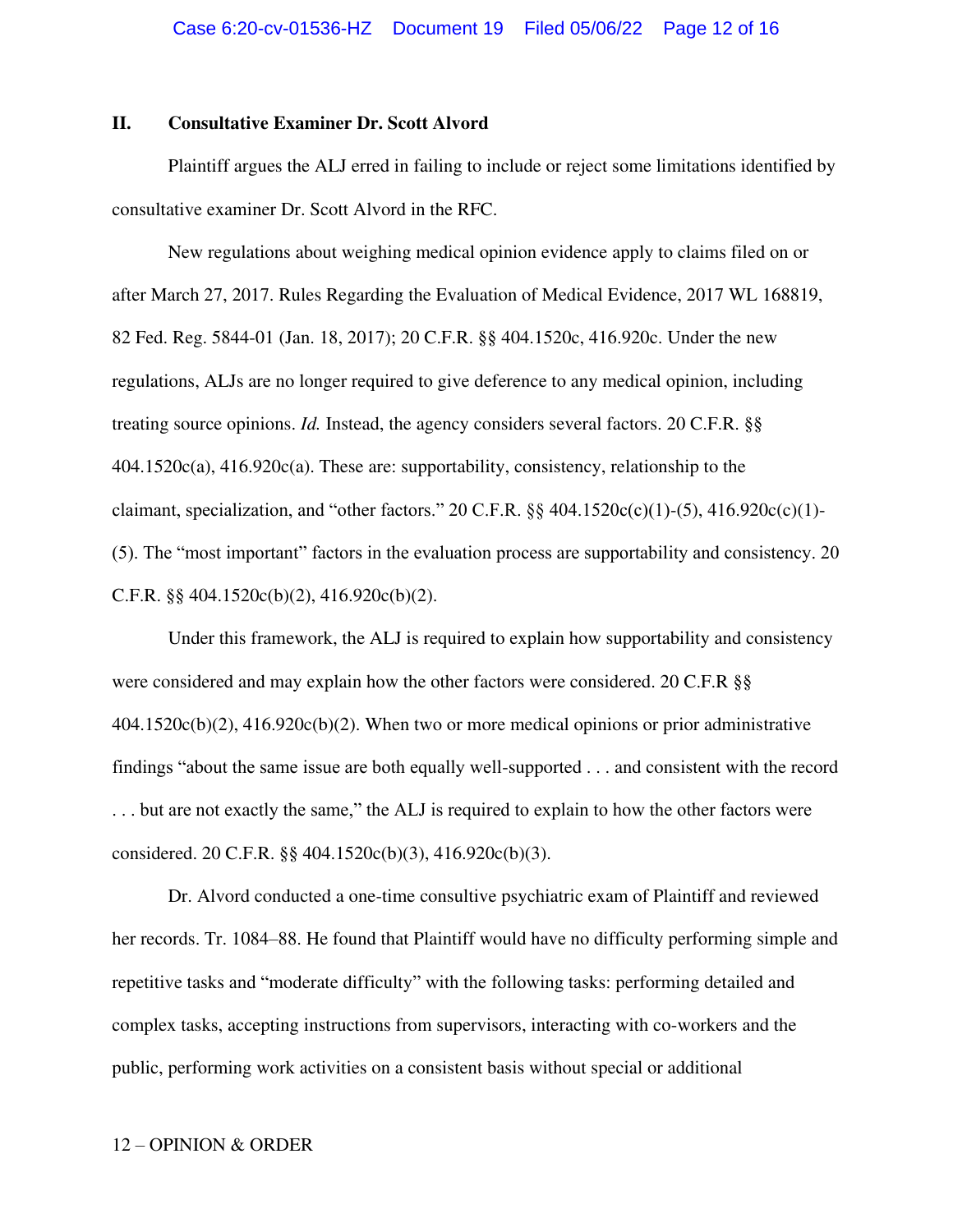## **II. Consultative Examiner Dr. Scott Alvord**

 Plaintiff argues the ALJ erred in failing to include or reject some limitations identified by consultative examiner Dr. Scott Alvord in the RFC.

 New regulations about weighing medical opinion evidence apply to claims filed on or after March 27, 2017. Rules Regarding the Evaluation of Medical Evidence, 2017 WL 168819, 82 Fed. Reg. 5844-01 (Jan. 18, 2017); 20 C.F.R. §§ 404.1520c, 416.920c. Under the new regulations, ALJs are no longer required to give deference to any medical opinion, including treating source opinions. *Id.* Instead, the agency considers several factors. 20 C.F.R. §§ 404.1520c(a), 416.920c(a). These are: supportability, consistency, relationship to the claimant, specialization, and "other factors." 20 C.F.R.  $\S$  404.1520c(c)(1)-(5), 416.920c(c)(1)-(5). The "most important" factors in the evaluation process are supportability and consistency. 20 C.F.R.  $\S$ § 404.1520c(b)(2), 416.920c(b)(2).

 Under this framework, the ALJ is required to explain how supportability and consistency were considered and may explain how the other factors were considered. 20 C.F.R §§ 404.1520c(b)(2), 416.920c(b)(2). When two or more medical opinions or prior administrative findings "about the same issue are both equally well-supported . . . and consistent with the record . . . but are not exactly the same," the ALJ is required to explain to how the other factors were considered. 20 C.F.R. §§ 404.1520c(b)(3), 416.920c(b)(3).

 Dr. Alvord conducted a one-time consultive psychiatric exam of Plaintiff and reviewed her records. Tr. 1084–88. He found that Plaintiff would have no difficulty performing simple and repetitive tasks and "moderate difficulty" with the following tasks: performing detailed and complex tasks, accepting instructions from supervisors, interacting with co-workers and the public, performing work activities on a consistent basis without special or additional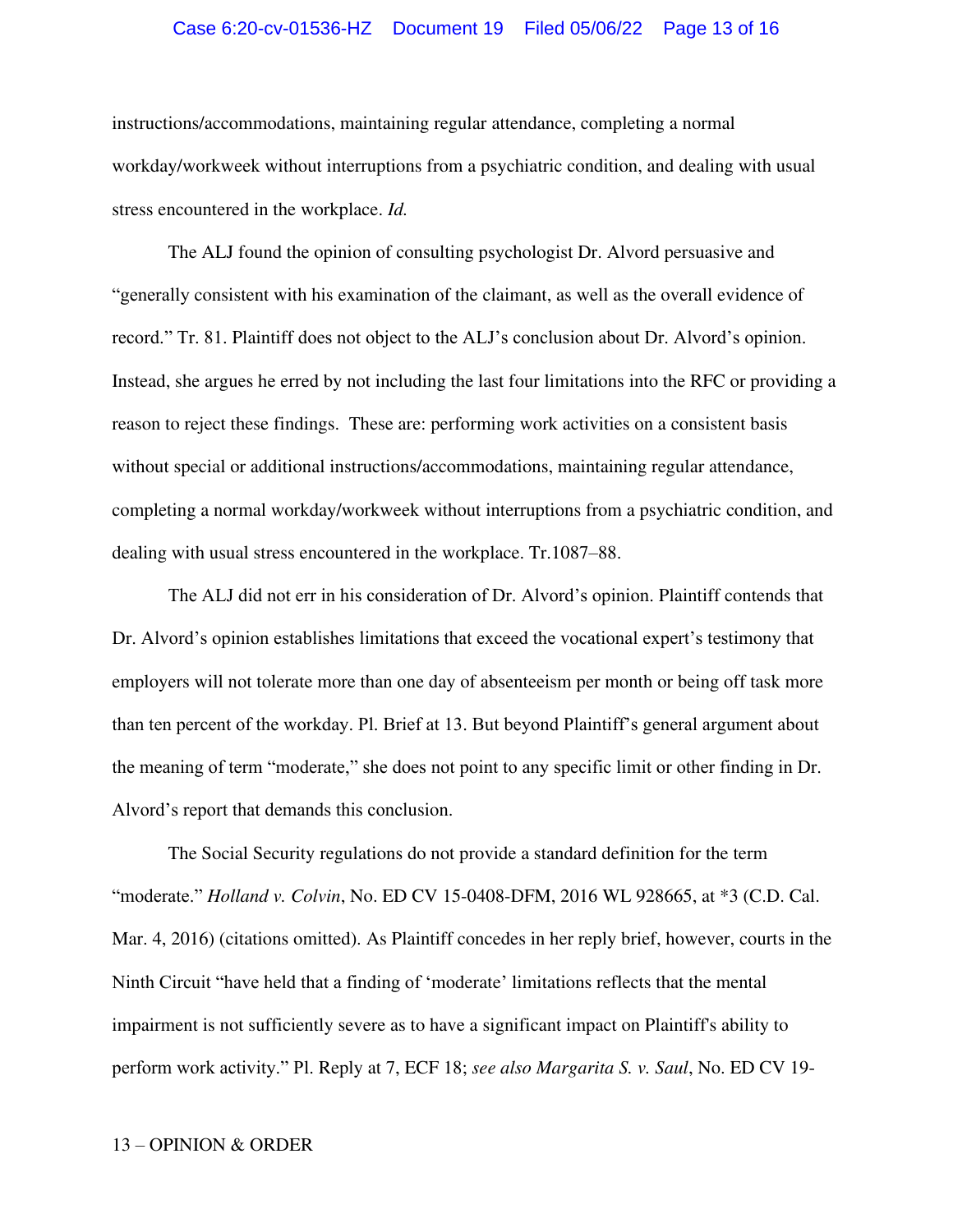#### Case 6:20-cv-01536-HZ Document 19 Filed 05/06/22 Page 13 of 16

instructions/accommodations, maintaining regular attendance, completing a normal workday/workweek without interruptions from a psychiatric condition, and dealing with usual stress encountered in the workplace. *Id.* 

 The ALJ found the opinion of consulting psychologist Dr. Alvord persuasive and "generally consistent with his examination of the claimant, as well as the overall evidence of record." Tr. 81. Plaintiff does not object to the ALJ's conclusion about Dr. Alvord's opinion. Instead, she argues he erred by not including the last four limitations into the RFC or providing a reason to reject these findings. These are: performing work activities on a consistent basis without special or additional instructions/accommodations, maintaining regular attendance, completing a normal workday/workweek without interruptions from a psychiatric condition, and dealing with usual stress encountered in the workplace. Tr.1087–88.

The ALJ did not err in his consideration of Dr. Alvord's opinion. Plaintiff contends that Dr. Alvord's opinion establishes limitations that exceed the vocational expert's testimony that employers will not tolerate more than one day of absenteeism per month or being off task more than ten percent of the workday. Pl. Brief at 13. But beyond Plaintiff's general argument about the meaning of term "moderate," she does not point to any specific limit or other finding in Dr. Alvord's report that demands this conclusion.

 The Social Security regulations do not provide a standard definition for the term "moderate." *Holland v. Colvin*, No. ED CV 15-0408-DFM, 2016 WL 928665, at \*3 (C.D. Cal. Mar. 4, 2016) (citations omitted). As Plaintiff concedes in her reply brief, however, courts in the Ninth Circuit "have held that a finding of 'moderate' limitations reflects that the mental impairment is not sufficiently severe as to have a significant impact on Plaintiff's ability to perform work activity." Pl. Reply at 7, ECF 18; *see also Margarita S. v. Saul*, No. ED CV 19-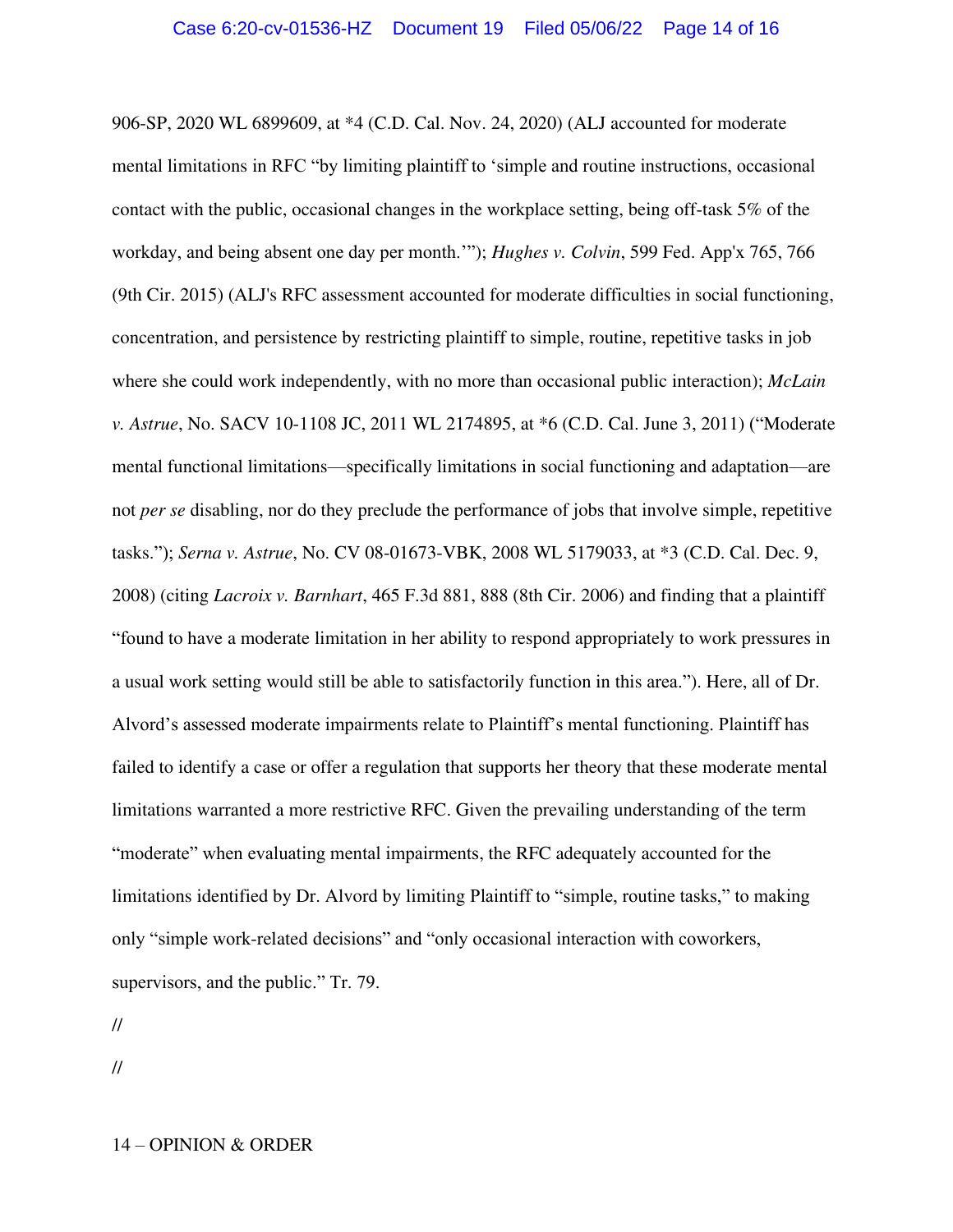906-SP, 2020 WL 6899609, at \*4 (C.D. Cal. Nov. 24, 2020) (ALJ accounted for moderate mental limitations in RFC "by limiting plaintiff to 'simple and routine instructions, occasional contact with the public, occasional changes in the workplace setting, being off-task 5% of the workday, and being absent one day per month.'"); *Hughes v. Colvin*, 599 Fed. App'x 765, 766 (9th Cir. 2015) (ALJ's RFC assessment accounted for moderate difficulties in social functioning, concentration, and persistence by restricting plaintiff to simple, routine, repetitive tasks in job where she could work independently, with no more than occasional public interaction); *McLain v. Astrue*, No. SACV 10-1108 JC, 2011 WL 2174895, at \*6 (C.D. Cal. June 3, 2011) ("Moderate mental functional limitations—specifically limitations in social functioning and adaptation—are not *per se* disabling, nor do they preclude the performance of jobs that involve simple, repetitive tasks."); *Serna v. Astrue*, No. CV 08-01673-VBK, 2008 WL 5179033, at \*3 (C.D. Cal. Dec. 9, 2008) (citing *Lacroix v. Barnhart*, 465 F.3d 881, 888 (8th Cir. 2006) and finding that a plaintiff "found to have a moderate limitation in her ability to respond appropriately to work pressures in a usual work setting would still be able to satisfactorily function in this area."). Here, all of Dr. Alvord's assessed moderate impairments relate to Plaintiff's mental functioning. Plaintiff has failed to identify a case or offer a regulation that supports her theory that these moderate mental limitations warranted a more restrictive RFC. Given the prevailing understanding of the term "moderate" when evaluating mental impairments, the RFC adequately accounted for the limitations identified by Dr. Alvord by limiting Plaintiff to "simple, routine tasks," to making only "simple work-related decisions" and "only occasional interaction with coworkers, supervisors, and the public." Tr. 79.

//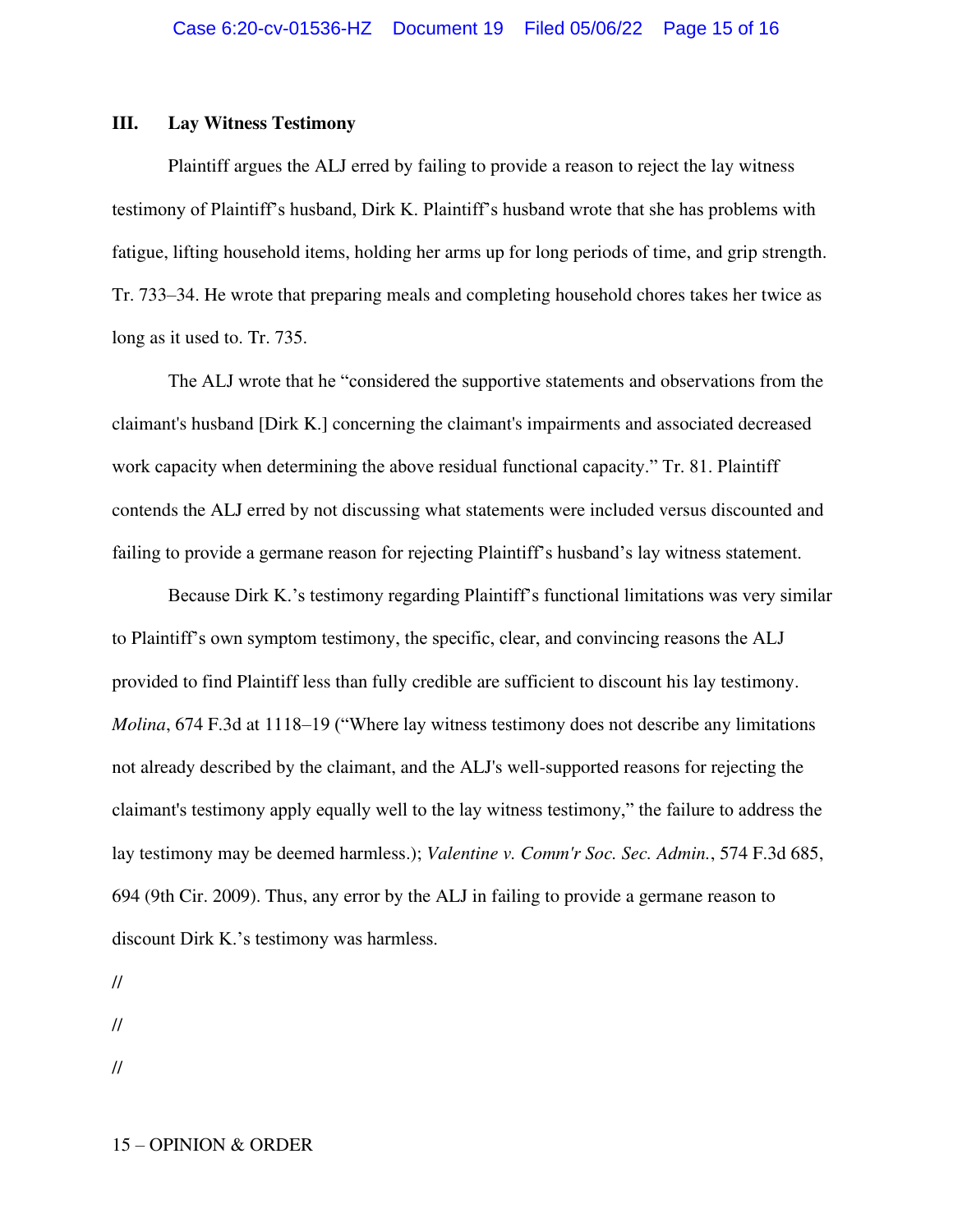## **III. Lay Witness Testimony**

 Plaintiff argues the ALJ erred by failing to provide a reason to reject the lay witness testimony of Plaintiff's husband, Dirk K. Plaintiff's husband wrote that she has problems with fatigue, lifting household items, holding her arms up for long periods of time, and grip strength. Tr. 733–34. He wrote that preparing meals and completing household chores takes her twice as long as it used to. Tr. 735.

The ALJ wrote that he "considered the supportive statements and observations from the claimant's husband [Dirk K.] concerning the claimant's impairments and associated decreased work capacity when determining the above residual functional capacity." Tr. 81. Plaintiff contends the ALJ erred by not discussing what statements were included versus discounted and failing to provide a germane reason for rejecting Plaintiff's husband's lay witness statement.

Because Dirk K.'s testimony regarding Plaintiff's functional limitations was very similar to Plaintiff's own symptom testimony, the specific, clear, and convincing reasons the ALJ provided to find Plaintiff less than fully credible are sufficient to discount his lay testimony. *Molina*, 674 F.3d at 1118–19 ("Where lay witness testimony does not describe any limitations not already described by the claimant, and the ALJ's well-supported reasons for rejecting the claimant's testimony apply equally well to the lay witness testimony," the failure to address the lay testimony may be deemed harmless.); *Valentine v. Comm'r Soc. Sec. Admin.*, 574 F.3d 685, 694 (9th Cir. 2009). Thus, any error by the ALJ in failing to provide a germane reason to discount Dirk K.'s testimony was harmless.

//

//